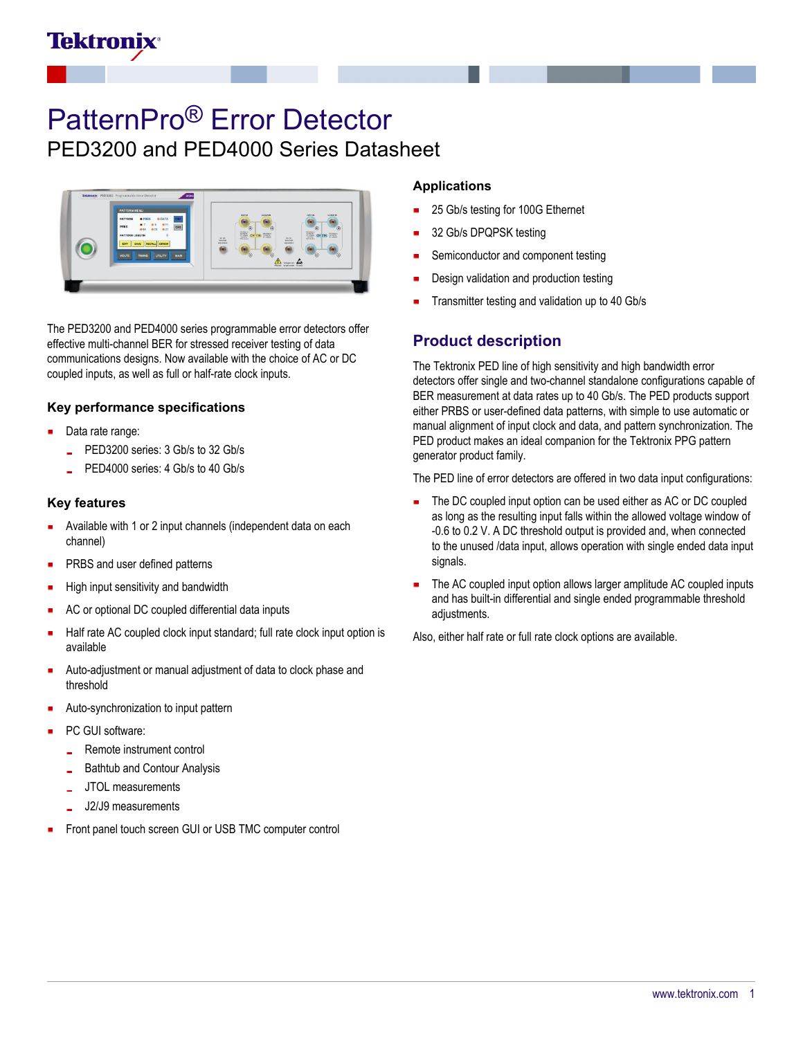

# PatternPro® Error Detector

PED3200 and PED4000 Series Datasheet



The PED3200 and PED4000 series programmable error detectors offer effective multi-channel BER for stressed receiver testing of data communications designs. Now available with the choice of AC or DC coupled inputs, as well as full or half-rate clock inputs.

#### **Key performance specifications**

- Data rate range:
	- PED3200 series: 3 Gb/s to 32 Gb/s
	- PED4000 series: 4 Gb/s to 40 Gb/s

#### **Key features**

- Available with 1 or 2 input channels (independent data on each channel)
- PRBS and user defined patterns
- High input sensitivity and bandwidth
- AC or optional DC coupled differential data inputs
- Half rate AC coupled clock input standard; full rate clock input option is available
- Auto-adjustment or manual adjustment of data to clock phase and threshold
- Auto-synchronization to input pattern
- PC GUI software:
	- Remote instrument control
	- Bathtub and Contour Analysis
	- JTOL measurements
	- J2/J9 measurements
- Front panel touch screen GUI or USB TMC computer control

#### **Applications**

- 25 Gb/s testing for 100G Ethernet
- 32 Gb/s DPQPSK testing
- Semiconductor and component testing
- Design validation and production testing
- Transmitter testing and validation up to 40 Gb/s

### **Product description**

The Tektronix PED line of high sensitivity and high bandwidth error detectors offer single and two-channel standalone configurations capable of BER measurement at data rates up to 40 Gb/s. The PED products support either PRBS or user-defined data patterns, with simple to use automatic or manual alignment of input clock and data, and pattern synchronization. The PED product makes an ideal companion for the Tektronix PPG pattern generator product family.

The PED line of error detectors are offered in two data input configurations:

- The DC coupled input option can be used either as AC or DC coupled as long as the resulting input falls within the allowed voltage window of -0.6 to 0.2 V. A DC threshold output is provided and, when connected to the unused /data input, allows operation with single ended data input signals.
- The AC coupled input option allows larger amplitude AC coupled inputs and has built-in differential and single ended programmable threshold adjustments.

Also, either half rate or full rate clock options are available.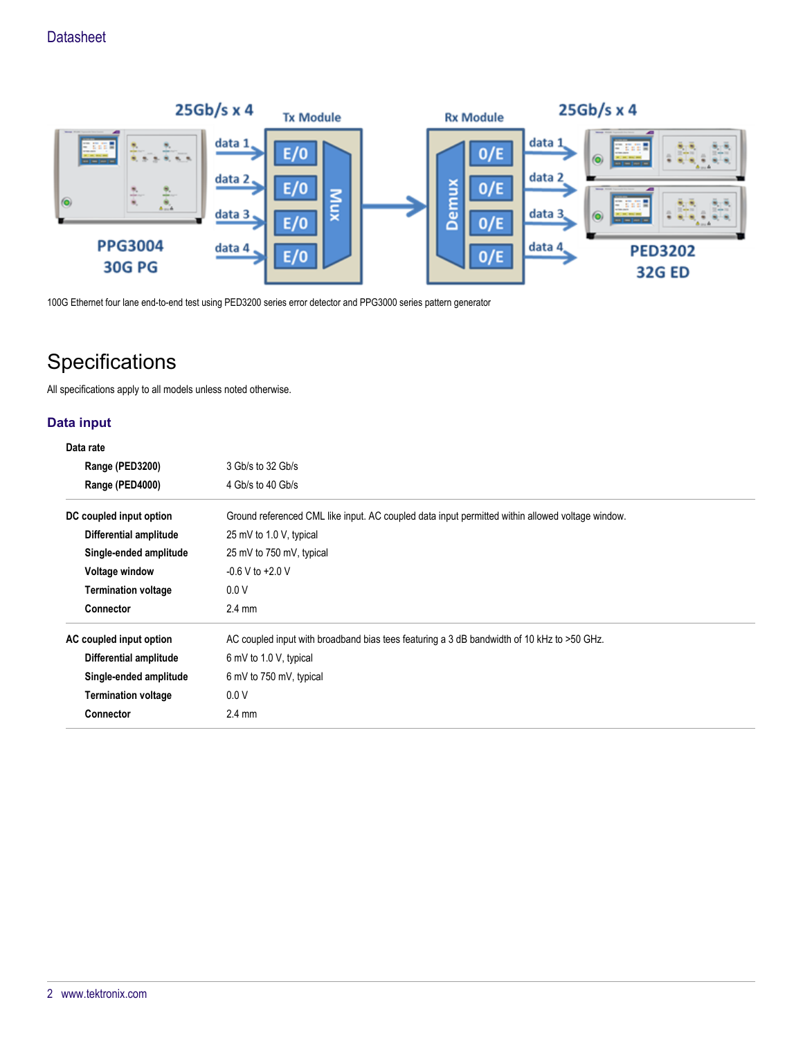

100G Ethernet four lane end-to-end test using PED3200 series error detector and PPG3000 series pattern generator

## **Specifications**

All specifications apply to all models unless noted otherwise.

#### **Data input**

## **Data rate**

| Range (PED3200)            | 3 Gb/s to 32 Gb/s                                                                                |
|----------------------------|--------------------------------------------------------------------------------------------------|
| Range (PED4000)            | 4 Gb/s to 40 Gb/s                                                                                |
| DC coupled input option    | Ground referenced CML like input. AC coupled data input permitted within allowed voltage window. |
| Differential amplitude     | 25 mV to 1.0 V, typical                                                                          |
| Single-ended amplitude     | 25 mV to 750 mV, typical                                                                         |
| Voltage window             | $-0.6$ V to $+2.0$ V                                                                             |
| <b>Termination voltage</b> | 0.0V                                                                                             |
| <b>Connector</b>           | $2.4 \text{ mm}$                                                                                 |
| AC coupled input option    | AC coupled input with broadband bias tees featuring a 3 dB bandwidth of 10 kHz to >50 GHz.       |
| Differential amplitude     | 6 mV to 1.0 V, typical                                                                           |
| Single-ended amplitude     | 6 mV to 750 mV, typical                                                                          |
| <b>Termination voltage</b> | 0.0V                                                                                             |
| Connector                  | $2.4 \text{ mm}$                                                                                 |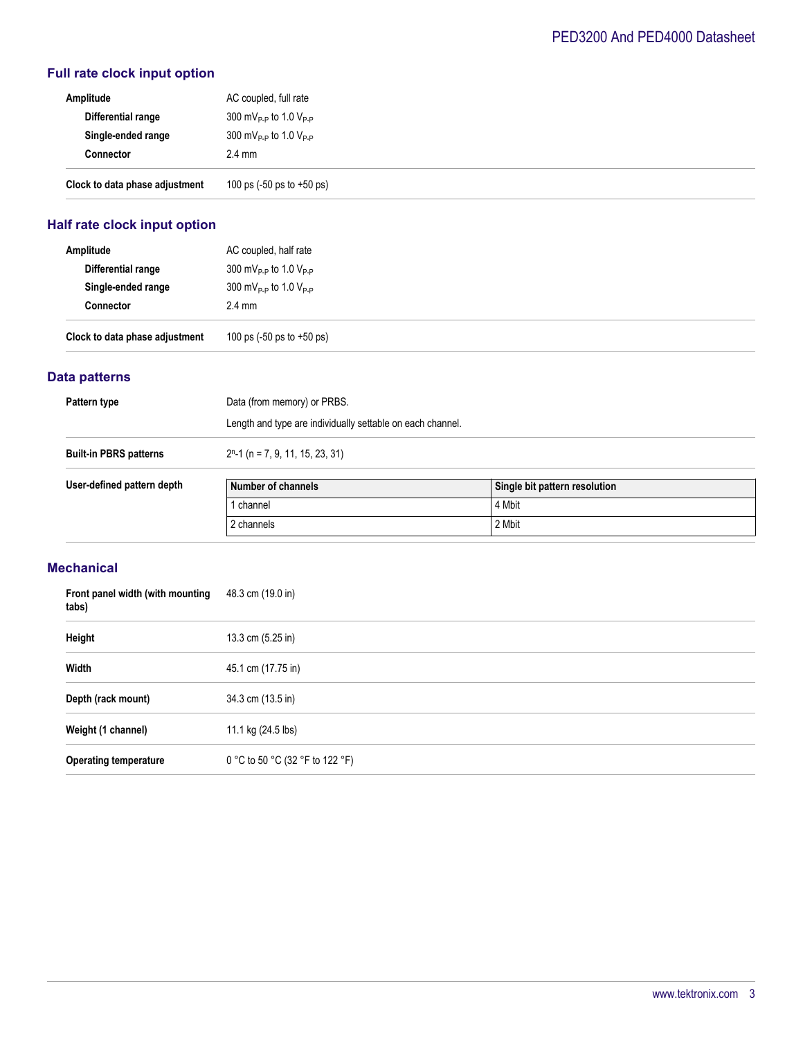## **Full rate clock input option**

| Amplitude                      | AC coupled, full rate                         |
|--------------------------------|-----------------------------------------------|
| Differential range             | 300 mV <sub>P-P</sub> to 1.0 V <sub>P-P</sub> |
| Single-ended range             | 300 mV <sub>P-P</sub> to 1.0 V <sub>P-P</sub> |
| <b>Connector</b>               | $2.4 \text{ mm}$                              |
| Clock to data phase adjustment | 100 ps $(-50 \text{ ps to } +50 \text{ ps})$  |

## **Half rate clock input option**

| Amplitude                      | AC coupled, half rate                                 |
|--------------------------------|-------------------------------------------------------|
| Differential range             | $300 \text{ mV}_{\text{P-P}}$ to 1.0 V <sub>P-P</sub> |
| Single-ended range             | 300 mV <sub>P-P</sub> to 1.0 V <sub>P-P</sub>         |
| <b>Connector</b>               | $2.4 \text{ mm}$                                      |
| Clock to data phase adjustment | 100 ps $(-50 \text{ ps to } +50 \text{ ps})$          |

#### **Data patterns**

| Pattern type                  | Data (from memory) or PRBS.                                |                               |  |
|-------------------------------|------------------------------------------------------------|-------------------------------|--|
|                               | Length and type are individually settable on each channel. |                               |  |
| <b>Built-in PBRS patterns</b> | $2n$ -1 (n = 7, 9, 11, 15, 23, 31)                         |                               |  |
| User-defined pattern depth    | Number of channels                                         | Single bit pattern resolution |  |
|                               | 1 channel                                                  | 4 Mbit                        |  |
|                               | 2 channels                                                 | 2 Mbit                        |  |
|                               |                                                            |                               |  |

#### **Mechanical**

| Front panel width (with mounting<br>tabs) | 48.3 cm (19.0 in)               |
|-------------------------------------------|---------------------------------|
| Height                                    | 13.3 cm $(5.25 \text{ in})$     |
| Width                                     | 45.1 cm (17.75 in)              |
| Depth (rack mount)                        | 34.3 cm (13.5 in)               |
| Weight (1 channel)                        | 11.1 kg (24.5 lbs)              |
| <b>Operating temperature</b>              | 0 °C to 50 °C (32 °F to 122 °F) |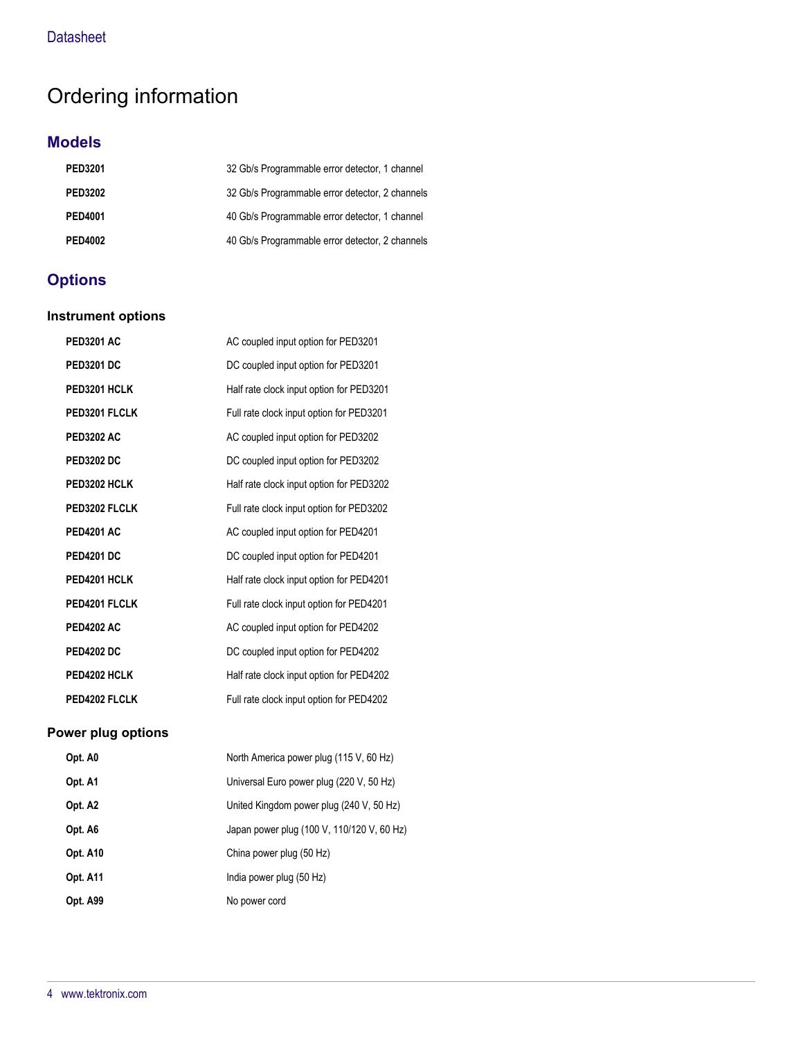## Ordering information

## **Models**

| <b>PED3201</b> | 32 Gb/s Programmable error detector, 1 channel  |
|----------------|-------------------------------------------------|
| <b>PED3202</b> | 32 Gb/s Programmable error detector, 2 channels |
| <b>PED4001</b> | 40 Gb/s Programmable error detector, 1 channel  |
| <b>PED4002</b> | 40 Gb/s Programmable error detector, 2 channels |

## **Options**

#### **Instrument options**

| <b>PED3201 AC</b> | AC coupled input option for PED3201      |
|-------------------|------------------------------------------|
| <b>PED3201 DC</b> | DC coupled input option for PED3201      |
| PED3201 HCLK      | Half rate clock input option for PED3201 |
| PED3201 FLCLK     | Full rate clock input option for PED3201 |
| <b>PED3202 AC</b> | AC coupled input option for PED3202      |
| <b>PED3202 DC</b> | DC coupled input option for PED3202      |
| PED3202 HCLK      | Half rate clock input option for PED3202 |
| PED3202 FLCLK     | Full rate clock input option for PED3202 |
| <b>PED4201 AC</b> | AC coupled input option for PED4201      |
| <b>PED4201 DC</b> | DC coupled input option for PED4201      |
| PED4201 HCLK      | Half rate clock input option for PED4201 |
| PED4201 FLCLK     | Full rate clock input option for PED4201 |
| <b>PED4202 AC</b> | AC coupled input option for PED4202      |
| <b>PED4202 DC</b> | DC coupled input option for PED4202      |
| PED4202 HCLK      | Half rate clock input option for PED4202 |
| PED4202 FLCLK     | Full rate clock input option for PED4202 |

## **Power plug options**

| Opt. A0             | North America power plug (115 V, 60 Hz)    |
|---------------------|--------------------------------------------|
| Opt. A1             | Universal Euro power plug (220 V, 50 Hz)   |
| Opt. A <sub>2</sub> | United Kingdom power plug (240 V, 50 Hz)   |
| Opt. A6             | Japan power plug (100 V, 110/120 V, 60 Hz) |
| <b>Opt. A10</b>     | China power plug (50 Hz)                   |
| <b>Opt. A11</b>     | India power plug (50 Hz)                   |
| <b>Opt. A99</b>     | No power cord                              |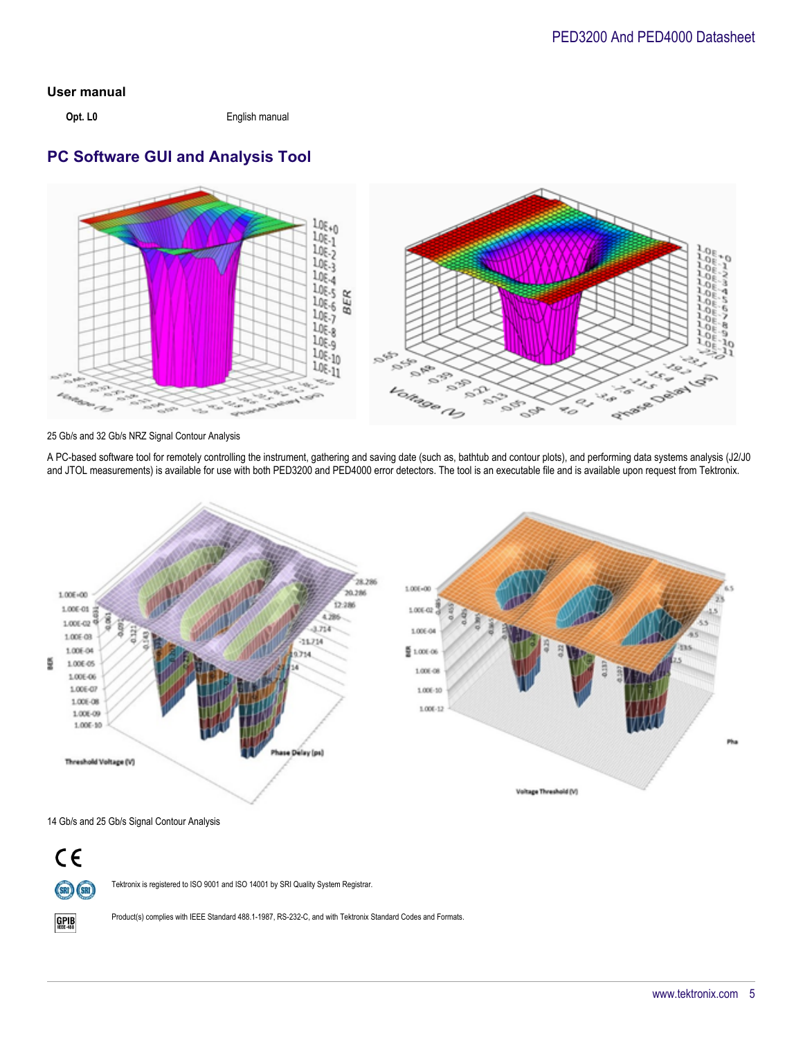#### **User manual**

**Opt. L0** English manual

## **PC Software GUI and Analysis Tool**



25 Gb/s and 32 Gb/s NRZ Signal Contour Analysis

A PC-based software tool for remotely controlling the instrument, gathering and saving date (such as, bathtub and contour plots), and performing data systems analysis (J2/J0 and JTOL measurements) is available for use with both PED3200 and PED4000 error detectors. The tool is an executable file and is available upon request from Tektronix.



14 Gb/s and 25 Gb/s Signal Contour Analysis



 $GPIB$ 

Tektronix is registered to ISO 9001 and ISO 14001 by SRI Quality System Registrar.

Product(s) complies with IEEE Standard 488.1-1987, RS-232-C, and with Tektronix Standard Codes and Formats.